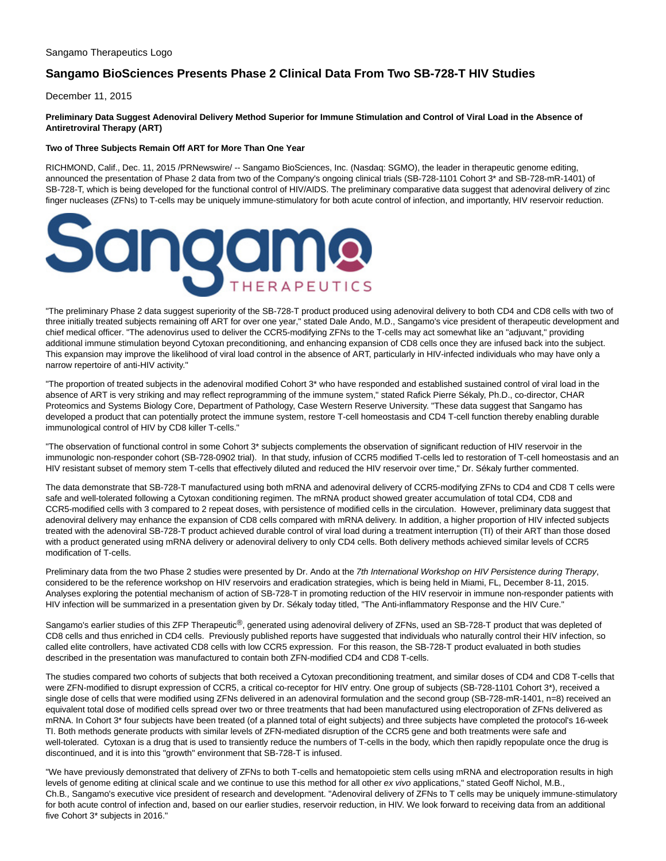# **Sangamo BioSciences Presents Phase 2 Clinical Data From Two SB-728-T HIV Studies**

December 11, 2015

# **Preliminary Data Suggest Adenoviral Delivery Method Superior for Immune Stimulation and Control of Viral Load in the Absence of Antiretroviral Therapy (ART)**

## **Two of Three Subjects Remain Off ART for More Than One Year**

RICHMOND, Calif., Dec. 11, 2015 /PRNewswire/ -- Sangamo BioSciences, Inc. (Nasdaq: SGMO), the leader in therapeutic genome editing, announced the presentation of Phase 2 data from two of the Company's ongoing clinical trials (SB-728-1101 Cohort 3\* and SB-728-mR-1401) of SB-728-T, which is being developed for the functional control of HIV/AIDS. The preliminary comparative data suggest that adenoviral delivery of zinc finger nucleases (ZFNs) to T-cells may be uniquely immune-stimulatory for both acute control of infection, and importantly, HIV reservoir reduction.



"The preliminary Phase 2 data suggest superiority of the SB-728-T product produced using adenoviral delivery to both CD4 and CD8 cells with two of three initially treated subjects remaining off ART for over one year," stated Dale Ando, M.D., Sangamo's vice president of therapeutic development and chief medical officer. "The adenovirus used to deliver the CCR5-modifying ZFNs to the T-cells may act somewhat like an "adjuvant," providing additional immune stimulation beyond Cytoxan preconditioning, and enhancing expansion of CD8 cells once they are infused back into the subject. This expansion may improve the likelihood of viral load control in the absence of ART, particularly in HIV-infected individuals who may have only a narrow repertoire of anti-HIV activity."

"The proportion of treated subjects in the adenoviral modified Cohort 3\* who have responded and established sustained control of viral load in the absence of ART is very striking and may reflect reprogramming of the immune system," stated Rafick Pierre Sékaly, Ph.D., co-director, CHAR Proteomics and Systems Biology Core, Department of Pathology, Case Western Reserve University. "These data suggest that Sangamo has developed a product that can potentially protect the immune system, restore T-cell homeostasis and CD4 T-cell function thereby enabling durable immunological control of HIV by CD8 killer T-cells."

"The observation of functional control in some Cohort 3\* subjects complements the observation of significant reduction of HIV reservoir in the immunologic non-responder cohort (SB-728-0902 trial). In that study, infusion of CCR5 modified T-cells led to restoration of T-cell homeostasis and an HIV resistant subset of memory stem T-cells that effectively diluted and reduced the HIV reservoir over time," Dr. Sékaly further commented.

The data demonstrate that SB-728-T manufactured using both mRNA and adenoviral delivery of CCR5-modifying ZFNs to CD4 and CD8 T cells were safe and well-tolerated following a Cytoxan conditioning regimen. The mRNA product showed greater accumulation of total CD4, CD8 and CCR5-modified cells with 3 compared to 2 repeat doses, with persistence of modified cells in the circulation. However, preliminary data suggest that adenoviral delivery may enhance the expansion of CD8 cells compared with mRNA delivery. In addition, a higher proportion of HIV infected subjects treated with the adenoviral SB-728-T product achieved durable control of viral load during a treatment interruption (TI) of their ART than those dosed with a product generated using mRNA delivery or adenoviral delivery to only CD4 cells. Both delivery methods achieved similar levels of CCR5 modification of T-cells.

Preliminary data from the two Phase 2 studies were presented by Dr. Ando at the 7th International Workshop on HIV Persistence during Therapy, considered to be the reference workshop on HIV reservoirs and eradication strategies, which is being held in Miami, FL, December 8-11, 2015. Analyses exploring the potential mechanism of action of SB-728-T in promoting reduction of the HIV reservoir in immune non-responder patients with HIV infection will be summarized in a presentation given by Dr. Sékaly today titled, "The Anti-inflammatory Response and the HIV Cure."

Sangamo's earlier studies of this ZFP Therapeutic®, generated using adenoviral delivery of ZFNs, used an SB-728-T product that was depleted of CD8 cells and thus enriched in CD4 cells. Previously published reports have suggested that individuals who naturally control their HIV infection, so called elite controllers, have activated CD8 cells with low CCR5 expression. For this reason, the SB-728-T product evaluated in both studies described in the presentation was manufactured to contain both ZFN-modified CD4 and CD8 T-cells.

The studies compared two cohorts of subjects that both received a Cytoxan preconditioning treatment, and similar doses of CD4 and CD8 T-cells that were ZFN-modified to disrupt expression of CCR5, a critical co-receptor for HIV entry. One group of subjects (SB-728-1101 Cohort 3\*), received a single dose of cells that were modified using ZFNs delivered in an adenoviral formulation and the second group (SB-728-mR-1401, n=8) received an equivalent total dose of modified cells spread over two or three treatments that had been manufactured using electroporation of ZFNs delivered as mRNA. In Cohort 3\* four subjects have been treated (of a planned total of eight subjects) and three subjects have completed the protocol's 16-week TI. Both methods generate products with similar levels of ZFN-mediated disruption of the CCR5 gene and both treatments were safe and well-tolerated. Cytoxan is a drug that is used to transiently reduce the numbers of T-cells in the body, which then rapidly repopulate once the drug is discontinued, and it is into this "growth" environment that SB-728-T is infused.

"We have previously demonstrated that delivery of ZFNs to both T-cells and hematopoietic stem cells using mRNA and electroporation results in high levels of genome editing at clinical scale and we continue to use this method for all other ex vivo applications," stated Geoff Nichol, M.B., Ch.B., Sangamo's executive vice president of research and development. "Adenoviral delivery of ZFNs to T cells may be uniquely immune-stimulatory for both acute control of infection and, based on our earlier studies, reservoir reduction, in HIV. We look forward to receiving data from an additional five Cohort 3\* subjects in 2016."